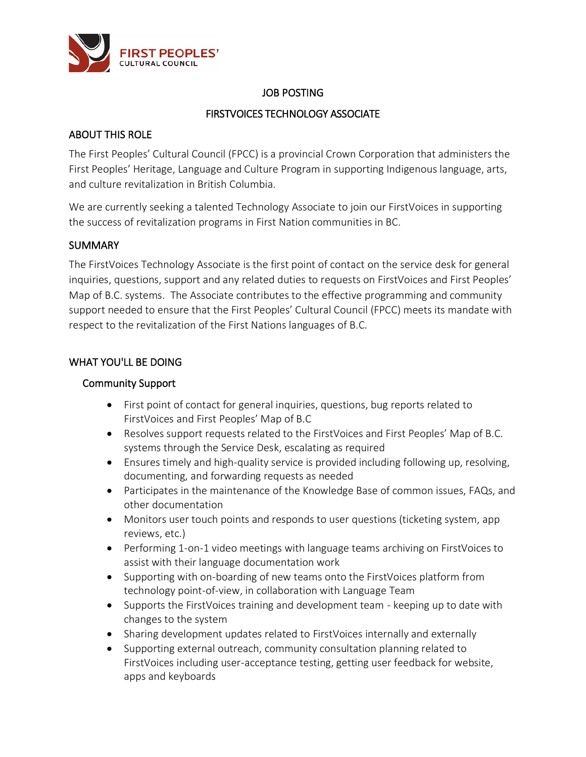

# JOB POSTING

# FIRSTVOICES TECHNOLOGY ASSOCIATE

# ABOUT THIS ROLE

The First Peoples' Cultural Council (FPCC) is a provincial Crown Corporation that administers the First Peoples' Heritage, Language and Culture Program in supporting Indigenous language, arts, and culture revitalization in British Columbia.

We are currently seeking a talented Technology Associate to join our FirstVoices in supporting the success of revitalization programs in First Nation communities in BC.

## **SUMMARY**

The FirstVoices Technology Associate is the first point of contact on the service desk for general inquiries, questions, support and any related duties to requests on FirstVoices and First Peoples' Map of B.C. systems. The Associate contributes to the effective programming and community support needed to ensure that the First Peoples' Cultural Council (FPCC) meets its mandate with respect to the revitalization of the First Nations languages of B.C.

# WHAT YOU'LL BE DOING

## Community Support

- First point of contact for general inquiries, questions, bug reports related to FirstVoices and First Peoples' Map of B.C
- Resolves support requests related to the FirstVoices and First Peoples' Map of B.C. systems through the Service Desk, escalating as required
- Ensures timely and high-quality service is provided including following up, resolving, documenting, and forwarding requests as needed
- Participates in the maintenance of the Knowledge Base of common issues, FAQs, and other documentation
- Monitors user touch points and responds to user questions (ticketing system, app reviews, etc.)
- Performing 1-on-1 video meetings with language teams archiving on FirstVoices to assist with their language documentation work
- Supporting with on-boarding of new teams onto the FirstVoices platform from technology point-of-view, in collaboration with Language Team
- Supports the FirstVoices training and development team keeping up to date with changes to the system
- Sharing development updates related to FirstVoices internally and externally
- Supporting external outreach, community consultation planning related to FirstVoices including user-acceptance testing, getting user feedback for website, apps and keyboards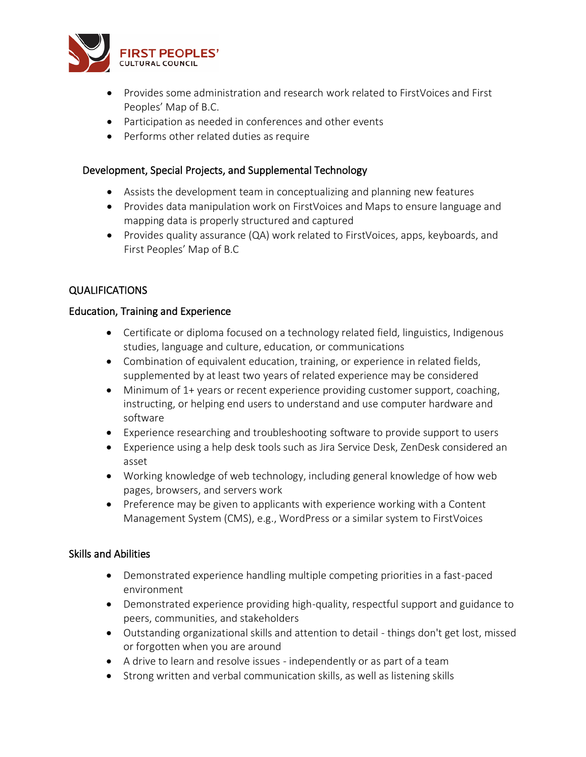

- Provides some administration and research work related to FirstVoices and First Peoples' Map of B.C.
- Participation as needed in conferences and other events
- Performs other related duties as require

### Development, Special Projects, and Supplemental Technology

- Assists the development team in conceptualizing and planning new features
- Provides data manipulation work on FirstVoices and Maps to ensure language and mapping data is properly structured and captured
- Provides quality assurance (QA) work related to FirstVoices, apps, keyboards, and First Peoples' Map of B.C

## QUALIFICATIONS

### Education, Training and Experience

- Certificate or diploma focused on a technology related field, linguistics, Indigenous studies, language and culture, education, or communications
- Combination of equivalent education, training, or experience in related fields, supplemented by at least two years of related experience may be considered
- Minimum of 1+ years or recent experience providing customer support, coaching, instructing, or helping end users to understand and use computer hardware and software
- Experience researching and troubleshooting software to provide support to users
- Experience using a help desk tools such as Jira Service Desk, ZenDesk considered an asset
- Working knowledge of web technology, including general knowledge of how web pages, browsers, and servers work
- Preference may be given to applicants with experience working with a Content Management System (CMS), e.g., WordPress or a similar system to FirstVoices

### Skills and Abilities

- Demonstrated experience handling multiple competing priorities in a fast-paced environment
- Demonstrated experience providing high-quality, respectful support and guidance to peers, communities, and stakeholders
- Outstanding organizational skills and attention to detail things don't get lost, missed or forgotten when you are around
- A drive to learn and resolve issues independently or as part of a team
- Strong written and verbal communication skills, as well as listening skills